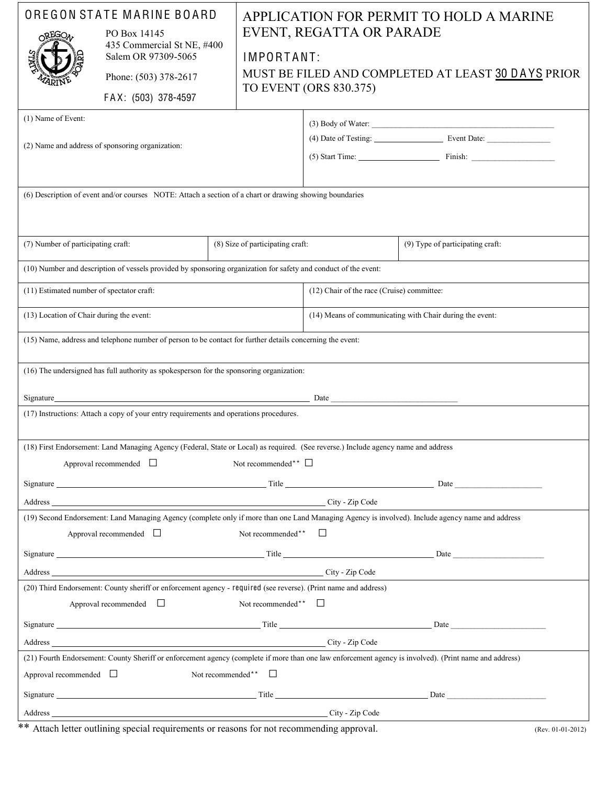| OREGON STATE MARINE BOARD<br>PO Box 14145<br>OREGO<br>435 Commercial St NE, #400<br>Salem OR 97309-5065<br>Phone: (503) 378-2617<br>FAX: (503) 378-4597<br>(1) Name of Event:<br>(2) Name and address of sponsoring organization:<br>(6) Description of event and/or courses NOTE: Attach a section of a chart or drawing showing boundaries |                                                                                                                                    |                                  | APPLICATION FOR PERMIT TO HOLD A MARINE<br>EVENT, REGATTA OR PARADE<br>IMPORTANT:<br>MUST BE FILED AND COMPLETED AT LEAST 30 DAYS PRIOR<br>TO EVENT (ORS 830.375)<br>$(3)$ Body of Water:<br>$(5)$ Start Time: $\qquad \qquad$ Finish: |                                                                                                                                                                                                                                |  |  |  |
|----------------------------------------------------------------------------------------------------------------------------------------------------------------------------------------------------------------------------------------------------------------------------------------------------------------------------------------------|------------------------------------------------------------------------------------------------------------------------------------|----------------------------------|----------------------------------------------------------------------------------------------------------------------------------------------------------------------------------------------------------------------------------------|--------------------------------------------------------------------------------------------------------------------------------------------------------------------------------------------------------------------------------|--|--|--|
| (7) Number of participating craft:                                                                                                                                                                                                                                                                                                           |                                                                                                                                    | (8) Size of participating craft: |                                                                                                                                                                                                                                        | (9) Type of participating craft:                                                                                                                                                                                               |  |  |  |
|                                                                                                                                                                                                                                                                                                                                              | (10) Number and description of vessels provided by sponsoring organization for safety and conduct of the event:                    |                                  |                                                                                                                                                                                                                                        |                                                                                                                                                                                                                                |  |  |  |
| (11) Estimated number of spectator craft:                                                                                                                                                                                                                                                                                                    |                                                                                                                                    |                                  | (12) Chair of the race (Cruise) committee:                                                                                                                                                                                             |                                                                                                                                                                                                                                |  |  |  |
| (13) Location of Chair during the event:                                                                                                                                                                                                                                                                                                     |                                                                                                                                    |                                  | (14) Means of communicating with Chair during the event:                                                                                                                                                                               |                                                                                                                                                                                                                                |  |  |  |
| (15) Name, address and telephone number of person to be contact for further details concerning the event:                                                                                                                                                                                                                                    |                                                                                                                                    |                                  |                                                                                                                                                                                                                                        |                                                                                                                                                                                                                                |  |  |  |
| (16) The undersigned has full authority as spokesperson for the sponsoring organization:                                                                                                                                                                                                                                                     |                                                                                                                                    |                                  |                                                                                                                                                                                                                                        |                                                                                                                                                                                                                                |  |  |  |
| Signature Date Date Date Date Date                                                                                                                                                                                                                                                                                                           |                                                                                                                                    |                                  |                                                                                                                                                                                                                                        |                                                                                                                                                                                                                                |  |  |  |
|                                                                                                                                                                                                                                                                                                                                              | (17) Instructions: Attach a copy of your entry requirements and operations procedures.                                             |                                  |                                                                                                                                                                                                                                        |                                                                                                                                                                                                                                |  |  |  |
|                                                                                                                                                                                                                                                                                                                                              | (18) First Endorsement: Land Managing Agency (Federal, State or Local) as required. (See reverse.) Include agency name and address |                                  |                                                                                                                                                                                                                                        |                                                                                                                                                                                                                                |  |  |  |
| Not recommended** $\Box$<br>Approval recommended $\Box$                                                                                                                                                                                                                                                                                      |                                                                                                                                    |                                  |                                                                                                                                                                                                                                        |                                                                                                                                                                                                                                |  |  |  |
| Signature Date Date and the Second Contract of the Second Contract of the Second Contract of the Second Contract of the Second Contract of the Second Contract of the Second Contract of the Second Contract of the Second Con                                                                                                               |                                                                                                                                    |                                  |                                                                                                                                                                                                                                        |                                                                                                                                                                                                                                |  |  |  |
|                                                                                                                                                                                                                                                                                                                                              | Address City - Zip Code                                                                                                            |                                  |                                                                                                                                                                                                                                        |                                                                                                                                                                                                                                |  |  |  |
| (19) Second Endorsement: Land Managing Agency (complete only if more than one Land Managing Agency is involved). Include agency name and address                                                                                                                                                                                             |                                                                                                                                    |                                  |                                                                                                                                                                                                                                        |                                                                                                                                                                                                                                |  |  |  |
| Not recommended** $\Box$<br>Approval recommended $\Box$                                                                                                                                                                                                                                                                                      |                                                                                                                                    |                                  |                                                                                                                                                                                                                                        |                                                                                                                                                                                                                                |  |  |  |
|                                                                                                                                                                                                                                                                                                                                              |                                                                                                                                    |                                  |                                                                                                                                                                                                                                        | Signature Date by the Second Contract of the Second Contract of the Second Contract of the Second Contract of the Second Contract of the Second Contract of the Second Contract of the Second Contract of the Second Contract  |  |  |  |
| Address City - Zip Code                                                                                                                                                                                                                                                                                                                      |                                                                                                                                    |                                  |                                                                                                                                                                                                                                        |                                                                                                                                                                                                                                |  |  |  |
| (20) Third Endorsement: County sheriff or enforcement agency - required (see reverse). (Print name and address)<br>Approval recommended $\Box$<br>Not recommended** $\Box$                                                                                                                                                                   |                                                                                                                                    |                                  |                                                                                                                                                                                                                                        |                                                                                                                                                                                                                                |  |  |  |
|                                                                                                                                                                                                                                                                                                                                              |                                                                                                                                    |                                  |                                                                                                                                                                                                                                        | Signature Date Date Development and the Contract of Title Contract of the Contract of the Contract of the Contract of the Contract of the Contract of the Contract of the Contract of the Contract of the Contract of the Cont |  |  |  |
| Address City - Zip Code                                                                                                                                                                                                                                                                                                                      |                                                                                                                                    |                                  |                                                                                                                                                                                                                                        |                                                                                                                                                                                                                                |  |  |  |
| (21) Fourth Endorsement: County Sheriff or enforcement agency (complete if more than one law enforcement agency is involved). (Print name and address)<br>Approval recommended $\Box$<br>Not recommended** $\Box$                                                                                                                            |                                                                                                                                    |                                  |                                                                                                                                                                                                                                        |                                                                                                                                                                                                                                |  |  |  |
|                                                                                                                                                                                                                                                                                                                                              |                                                                                                                                    |                                  |                                                                                                                                                                                                                                        |                                                                                                                                                                                                                                |  |  |  |
|                                                                                                                                                                                                                                                                                                                                              | Signature Date Date by the Second Contract of the Second Contract of the Contract of the Date Date Date                            |                                  |                                                                                                                                                                                                                                        |                                                                                                                                                                                                                                |  |  |  |
|                                                                                                                                                                                                                                                                                                                                              | City - Zip Code                                                                                                                    |                                  |                                                                                                                                                                                                                                        |                                                                                                                                                                                                                                |  |  |  |

\*\* Attach letter outlining special requirements or reasons for not recommending approval. (Rev. 01-01-2012)